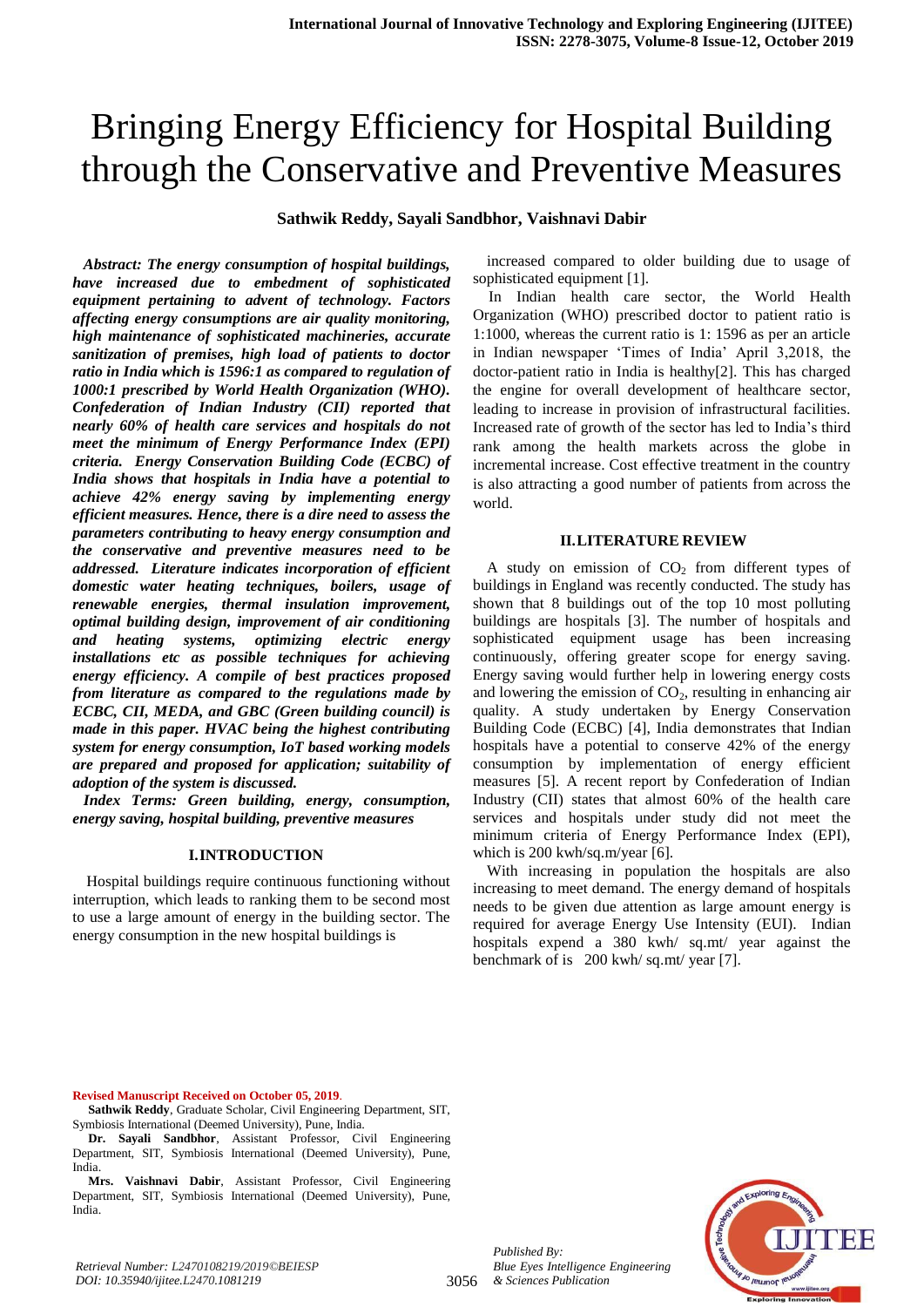# Bringing Energy Efficiency for Hospital Building through the Conservative and Preventive Measures

# **Sathwik Reddy, Sayali Sandbhor, Vaishnavi Dabir**

*Abstract: The energy consumption of hospital buildings, have increased due to embedment of sophisticated equipment pertaining to advent of technology. Factors affecting energy consumptions are air quality monitoring, high maintenance of sophisticated machineries, accurate sanitization of premises, high load of patients to doctor ratio in India which is 1596:1 as compared to regulation of 1000:1 prescribed by World Health Organization (WHO). Confederation of Indian Industry (CII) reported that nearly 60% of health care services and hospitals do not meet the minimum of Energy Performance Index (EPI) criteria. Energy Conservation Building Code (ECBC) of India shows that hospitals in India have a potential to achieve 42% energy saving by implementing energy efficient measures. Hence, there is a dire need to assess the parameters contributing to heavy energy consumption and the conservative and preventive measures need to be addressed. Literature indicates incorporation of efficient domestic water heating techniques, boilers, usage of renewable energies, thermal insulation improvement, optimal building design, improvement of air conditioning and heating systems, optimizing electric energy installations etc as possible techniques for achieving energy efficiency. A compile of best practices proposed from literature as compared to the regulations made by ECBC, CII, MEDA, and GBC (Green building council) is made in this paper. HVAC being the highest contributing system for energy consumption, IoT based working models are prepared and proposed for application; suitability of adoption of the system is discussed.*

*Index Terms: Green building, energy, consumption, energy saving, hospital building, preventive measures*

#### **I.INTRODUCTION**

Hospital buildings require continuous functioning without interruption, which leads to ranking them to be second most to use a large amount of energy in the building sector. The energy consumption in the new hospital buildings is

increased compared to older building due to usage of sophisticated equipment [1].

In Indian health care sector, the World Health Organization (WHO) prescribed doctor to patient ratio is 1:1000, whereas the current ratio is 1: 1596 as per an article in Indian newspaper "Times of India" April 3,2018, the doctor-patient ratio in India is healthy[2]. This has charged the engine for overall development of healthcare sector, leading to increase in provision of infrastructural facilities. Increased rate of growth of the sector has led to India"s third rank among the health markets across the globe in incremental increase. Cost effective treatment in the country is also attracting a good number of patients from across the world.

## **II.LITERATURE REVIEW**

A study on emission of  $CO<sub>2</sub>$  from different types of buildings in England was recently conducted. The study has shown that 8 buildings out of the top 10 most polluting buildings are hospitals [3]. The number of hospitals and sophisticated equipment usage has been increasing continuously, offering greater scope for energy saving. Energy saving would further help in lowering energy costs and lowering the emission of  $CO<sub>2</sub>$ , resulting in enhancing air quality. A study undertaken by Energy Conservation Building Code (ECBC) [4], India demonstrates that Indian hospitals have a potential to conserve 42% of the energy consumption by implementation of energy efficient measures [5]. A recent report by Confederation of Indian Industry (CII) states that almost 60% of the health care services and hospitals under study did not meet the minimum criteria of Energy Performance Index (EPI), which is 200 kwh/sq.m/year [6].

With increasing in population the hospitals are also increasing to meet demand. The energy demand of hospitals needs to be given due attention as large amount energy is required for average Energy Use Intensity (EUI). Indian hospitals expend a 380 kwh/ sq.mt/ year against the benchmark of is 200 kwh/ sq.mt/ year [7].

**Revised Manuscript Received on October 05, 2019**.

- **Sathwik Reddy**, Graduate Scholar, Civil Engineering Department, SIT, Symbiosis International (Deemed University), Pune, India.
- **Dr. Sayali Sandbhor**, Assistant Professor, Civil Engineering Department, SIT, Symbiosis International (Deemed University), Pune, India.
- **Mrs. Vaishnavi Dabir**, Assistant Professor, Civil Engineering Department, SIT, Symbiosis International (Deemed University), Pune, India.

*Published By:*

*Blue Eyes Intelligence Engineering*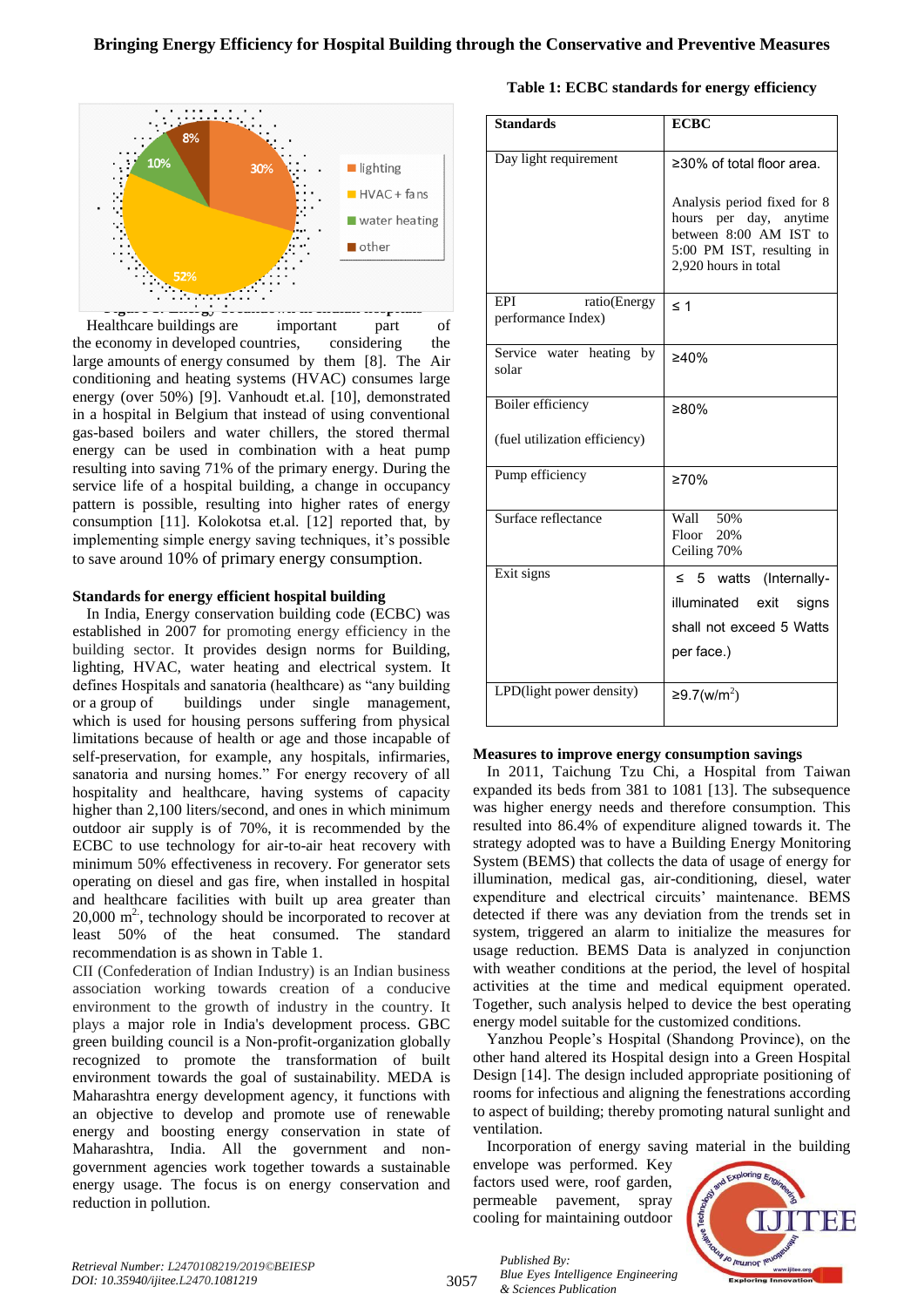

Healthcare buildings are important part of the economy in developed countries, considering the large amounts of energy consumed by them [8]. The Air conditioning and heating systems (HVAC) consumes large energy (over 50%) [9]. Vanhoudt et.al. [10], demonstrated in a hospital in Belgium that instead of using conventional gas-based boilers and water chillers, the stored thermal energy can be used in combination with a heat pump resulting into saving 71% of the primary energy. During the service life of a hospital building, a change in occupancy pattern is possible, resulting into higher rates of energy consumption [11]. Kolokotsa et.al. [12] reported that, by implementing simple energy saving techniques, it's possible to save around 10% of primary energy consumption.

## **Standards for energy efficient hospital building**

In India, Energy conservation building code (ECBC) was established in 2007 for promoting energy efficiency in the building sector. It provides design norms for Building, lighting, HVAC, water heating and electrical system. It defines Hospitals and sanatoria (healthcare) as "any building or a group of buildings under single management, which is used for housing persons suffering from physical limitations because of health or age and those incapable of self-preservation, for example, any hospitals, infirmaries, sanatoria and nursing homes." For energy recovery of all hospitality and healthcare, having systems of capacity higher than 2,100 liters/second, and ones in which minimum outdoor air supply is of 70%, it is recommended by the ECBC to use technology for air-to-air heat recovery with minimum 50% effectiveness in recovery. For generator sets operating on diesel and gas fire, when installed in hospital and healthcare facilities with built up area greater than  $20,000 \text{ m}^2$ , technology should be incorporated to recover at least 50% of the heat consumed. The standard recommendation is as shown in Table 1.

CII (Confederation of Indian Industry) is an Indian business association working towards creation of a conducive environment to the growth of industry in the country. It plays a major role in India's development process. GBC green building council is a Non-profit-organization globally recognized to promote the transformation of built environment towards the goal of sustainability. MEDA is Maharashtra energy development agency, it functions with an objective to develop and promote use of renewable energy and boosting energy conservation in state of Maharashtra, India. All the government and nongovernment agencies work together towards a sustainable energy usage. The focus is on energy conservation and reduction in pollution.

## **Table 1: ECBC standards for energy efficiency**

| <b>Standards</b>                          | <b>ECBC</b>                                                                                                                          |  |  |
|-------------------------------------------|--------------------------------------------------------------------------------------------------------------------------------------|--|--|
| Day light requirement                     | ≥30% of total floor area.                                                                                                            |  |  |
|                                           | Analysis period fixed for 8<br>hours per day, anytime<br>between 8:00 AM IST to<br>5:00 PM IST, resulting in<br>2,920 hours in total |  |  |
| EPI<br>ratio(Energy<br>performance Index) | $\leq 1$                                                                                                                             |  |  |
| Service water heating by<br>solar         | ≥40%                                                                                                                                 |  |  |
| Boiler efficiency                         | ≥80%                                                                                                                                 |  |  |
| (fuel utilization efficiency)             |                                                                                                                                      |  |  |
| Pump efficiency                           | $\geq 70\%$                                                                                                                          |  |  |
| Surface reflectance                       | Wall 50%<br>Floor 20%<br>Ceiling 70%                                                                                                 |  |  |
| Exit signs                                | $\leq$ 5 watts (Internally-<br>illuminated exit<br>signs<br>shall not exceed 5 Watts<br>per face.)                                   |  |  |
| LPD(light power density)                  | ≥9.7(w/m <sup>2</sup> )                                                                                                              |  |  |

## **Measures to improve energy consumption savings**

In 2011, Taichung Tzu Chi, a Hospital from Taiwan expanded its beds from 381 to 1081 [13]. The subsequence was higher energy needs and therefore consumption. This resulted into 86.4% of expenditure aligned towards it. The strategy adopted was to have a Building Energy Monitoring System (BEMS) that collects the data of usage of energy for illumination, medical gas, air-conditioning, diesel, water expenditure and electrical circuits' maintenance. BEMS detected if there was any deviation from the trends set in system, triggered an alarm to initialize the measures for usage reduction. BEMS Data is analyzed in conjunction with weather conditions at the period, the level of hospital activities at the time and medical equipment operated. Together, such analysis helped to device the best operating energy model suitable for the customized conditions.

Yanzhou People"s Hospital (Shandong Province), on the other hand altered its Hospital design into a Green Hospital Design [14]. The design included appropriate positioning of rooms for infectious and aligning the fenestrations according to aspect of building; thereby promoting natural sunlight and ventilation.

Incorporation of energy saving material in the building envelope was performed. Key

factors used were, roof garden, permeable pavement, spray cooling for maintaining outdoor



3057

*Published By: Blue Eyes Intelligence Engineering & Sciences Publication*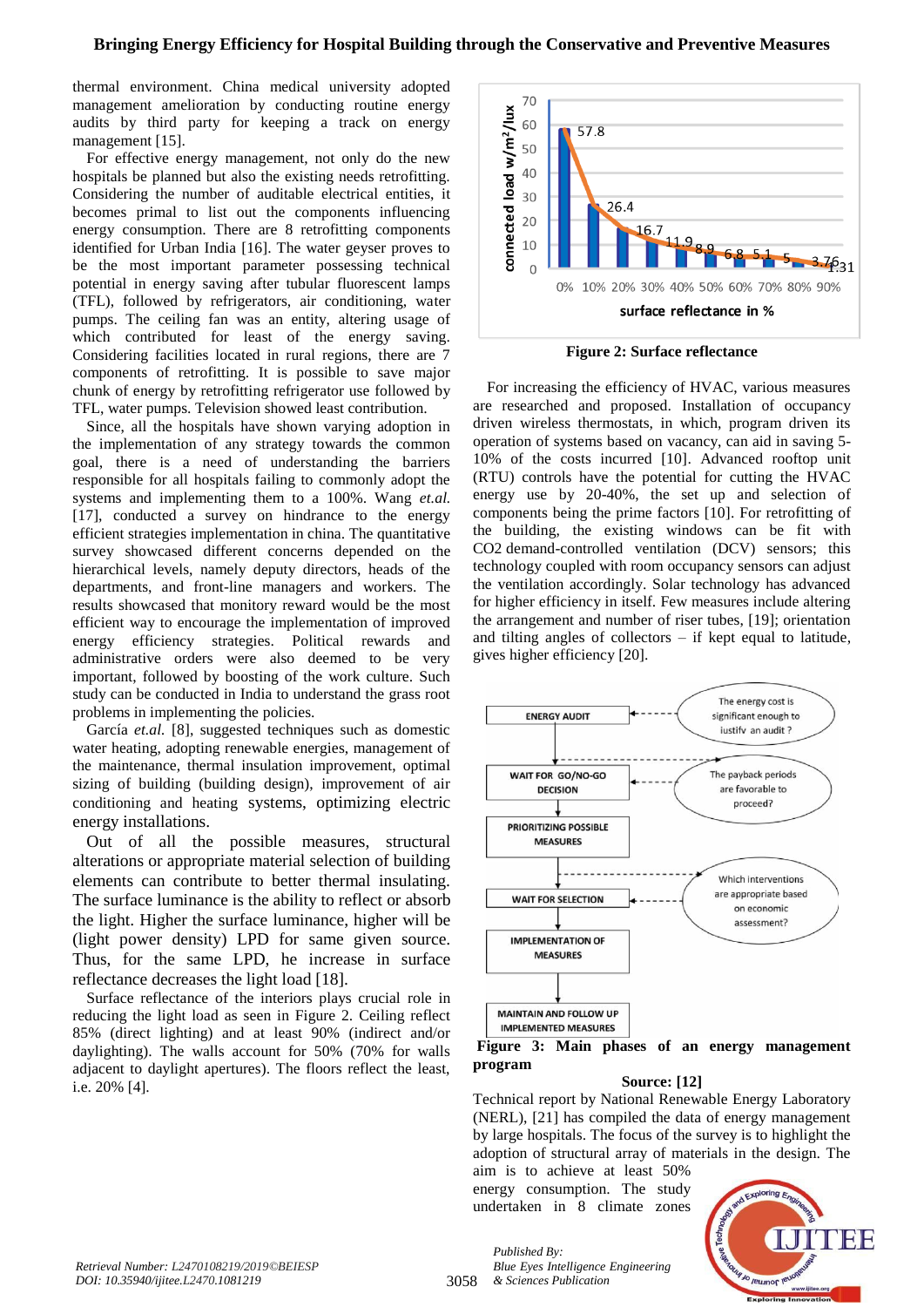thermal environment. China medical university adopted management amelioration by conducting routine energy audits by third party for keeping a track on energy management [15].

For effective energy management, not only do the new hospitals be planned but also the existing needs retrofitting. Considering the number of auditable electrical entities, it becomes primal to list out the components influencing energy consumption. There are 8 retrofitting components identified for Urban India [16]. The water geyser proves to be the most important parameter possessing technical potential in energy saving after tubular fluorescent lamps (TFL), followed by refrigerators, air conditioning, water pumps. The ceiling fan was an entity, altering usage of which contributed for least of the energy saving. Considering facilities located in rural regions, there are 7 components of retrofitting. It is possible to save major chunk of energy by retrofitting refrigerator use followed by TFL, water pumps. Television showed least contribution.

Since, all the hospitals have shown varying adoption in the implementation of any strategy towards the common goal, there is a need of understanding the barriers responsible for all hospitals failing to commonly adopt the systems and implementing them to a 100%. Wang *et.al.* [17], conducted a survey on hindrance to the energy efficient strategies implementation in china. The quantitative survey showcased different concerns depended on the hierarchical levels, namely deputy directors, heads of the departments, and front-line managers and workers. The results showcased that monitory reward would be the most efficient way to encourage the implementation of improved energy efficiency strategies. Political rewards and administrative orders were also deemed to be very important, followed by boosting of the work culture. Such study can be conducted in India to understand the grass root problems in implementing the policies.

García *et.al.* [8], suggested techniques such as domestic water heating, adopting renewable energies, management of the maintenance, thermal insulation improvement, optimal sizing of building (building design), improvement of air conditioning and heating systems, optimizing electric energy installations.

Out of all the possible measures, structural alterations or appropriate material selection of building elements can contribute to better thermal insulating. The surface luminance is the ability to reflect or absorb the light. Higher the surface luminance, higher will be (light power density) LPD for same given source. Thus, for the same LPD, he increase in surface reflectance decreases the light load [18].

Surface reflectance of the interiors plays crucial role in reducing the light load as seen in Figure 2. Ceiling reflect 85% (direct lighting) and at least 90% (indirect and/or daylighting). The walls account for 50% (70% for walls adjacent to daylight apertures). The floors reflect the least, i.e. 20% [4].



**Figure 2: Surface reflectance**

For increasing the efficiency of HVAC, various measures are researched and proposed. Installation of occupancy driven wireless thermostats, in which, program driven its operation of systems based on vacancy, can aid in saving 5- 10% of the costs incurred [10]. Advanced rooftop unit (RTU) controls have the potential for cutting the HVAC energy use by 20-40%, the set up and selection of components being the prime factors [10]. For retrofitting of the building, the existing windows can be fit with CO2 demand-controlled ventilation (DCV) sensors; this technology coupled with room occupancy sensors can adjust the ventilation accordingly. Solar technology has advanced for higher efficiency in itself. Few measures include altering the arrangement and number of riser tubes, [19]; orientation and tilting angles of collectors – if kept equal to latitude, gives higher efficiency [20].





## **Source: [12]**

Technical report by National Renewable Energy Laboratory (NERL), [21] has compiled the data of energy management by large hospitals. The focus of the survey is to highlight the adoption of structural array of materials in the design. The

aim is to achieve at least 50% energy consumption. The study undertaken in 8 climate zones



3058 *& Sciences Publication Blue Eyes Intelligence Engineering* 

*Published By:*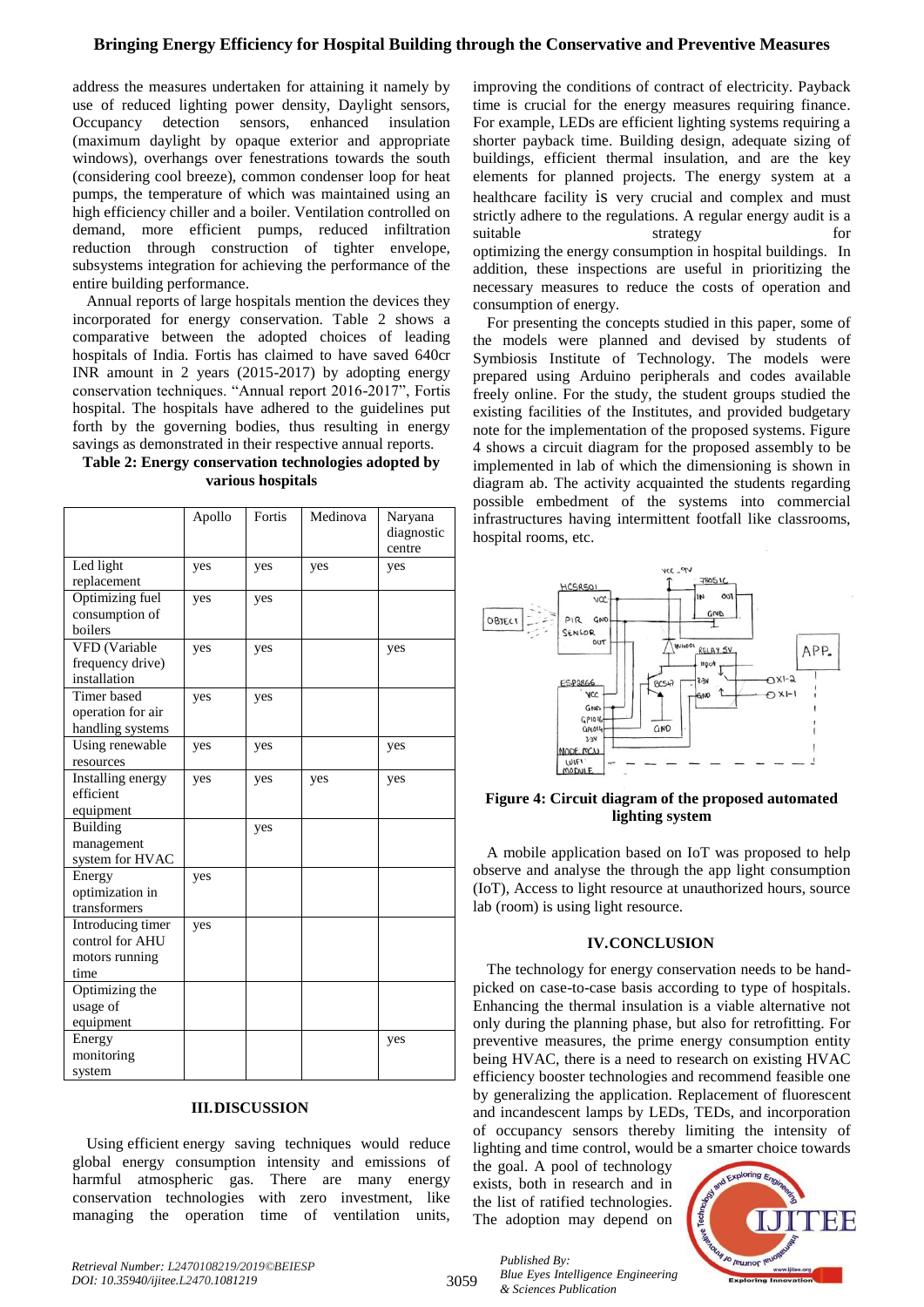# **Bringing Energy Efficiency for Hospital Building through the Conservative and Preventive Measures**

address the measures undertaken for attaining it namely by use of reduced lighting power density, Daylight sensors, Occupancy detection sensors, enhanced insulation (maximum daylight by opaque exterior and appropriate windows), overhangs over fenestrations towards the south (considering cool breeze), common condenser loop for heat pumps, the temperature of which was maintained using an high efficiency chiller and a boiler. Ventilation controlled on demand, more efficient pumps, reduced infiltration reduction through construction of tighter envelope, subsystems integration for achieving the performance of the entire building performance.

Annual reports of large hospitals mention the devices they incorporated for energy conservation. Table 2 shows a comparative between the adopted choices of leading hospitals of India. Fortis has claimed to have saved 640cr INR amount in 2 years (2015-2017) by adopting energy conservation techniques. "Annual report 2016-2017", Fortis hospital. The hospitals have adhered to the guidelines put forth by the governing bodies, thus resulting in energy savings as demonstrated in their respective annual reports.

## **Table 2: Energy conservation technologies adopted by various hospitals**

|                   | Apollo | Fortis | Medinova | Naryana    |
|-------------------|--------|--------|----------|------------|
|                   |        |        |          | diagnostic |
|                   |        |        |          | centre     |
| Led light         | yes    | yes    | yes      | yes        |
| replacement       |        |        |          |            |
| Optimizing fuel   | yes    | yes    |          |            |
| consumption of    |        |        |          |            |
| boilers           |        |        |          |            |
| VFD (Variable     | yes    | yes    |          | yes        |
| frequency drive)  |        |        |          |            |
| installation      |        |        |          |            |
| Timer based       | yes    | yes    |          |            |
| operation for air |        |        |          |            |
| handling systems  |        |        |          |            |
| Using renewable   | yes    | yes    |          | yes        |
| resources         |        |        |          |            |
| Installing energy | yes    | yes    | yes      | yes        |
| efficient         |        |        |          |            |
| equipment         |        |        |          |            |
| Building          |        | yes    |          |            |
| management        |        |        |          |            |
| system for HVAC   |        |        |          |            |
| Energy            | yes    |        |          |            |
| optimization in   |        |        |          |            |
| transformers      |        |        |          |            |
| Introducing timer | yes    |        |          |            |
| control for AHU   |        |        |          |            |
| motors running    |        |        |          |            |
| time              |        |        |          |            |
| Optimizing the    |        |        |          |            |
| usage of          |        |        |          |            |
| equipment         |        |        |          |            |
| Energy            |        |        |          | yes        |
| monitoring        |        |        |          |            |
| system            |        |        |          |            |

## **III.DISCUSSION**

Using efficient energy saving techniques would reduce global energy consumption intensity and emissions of harmful atmospheric gas. There are many energy conservation technologies with zero investment, like managing the operation time of ventilation units,

improving the conditions of contract of electricity. Payback time is crucial for the energy measures requiring finance. For example, LEDs are efficient lighting systems requiring a shorter payback time. Building design, adequate sizing of buildings, efficient thermal insulation, and are the key elements for planned projects. The energy system at a healthcare facility is very crucial and complex and must strictly adhere to the regulations. A regular energy audit is a suitable strategy for optimizing the energy consumption in hospital buildings. In addition, these inspections are useful in prioritizing the necessary measures to reduce the costs of operation and consumption of energy.

For presenting the concepts studied in this paper, some of the models were planned and devised by students of Symbiosis Institute of Technology. The models were prepared using Arduino peripherals and codes available freely online. For the study, the student groups studied the existing facilities of the Institutes, and provided budgetary note for the implementation of the proposed systems. Figure 4 shows a circuit diagram for the proposed assembly to be implemented in lab of which the dimensioning is shown in diagram ab. The activity acquainted the students regarding possible embedment of the systems into commercial infrastructures having intermittent footfall like classrooms, hospital rooms, etc.



## **Figure 4: Circuit diagram of the proposed automated lighting system**

A mobile application based on IoT was proposed to help observe and analyse the through the app light consumption (IoT), Access to light resource at unauthorized hours, source lab (room) is using light resource.

## **IV.CONCLUSION**

The technology for energy conservation needs to be handpicked on case-to-case basis according to type of hospitals. Enhancing the thermal insulation is a viable alternative not only during the planning phase, but also for retrofitting. For preventive measures, the prime energy consumption entity being HVAC, there is a need to research on existing HVAC efficiency booster technologies and recommend feasible one by generalizing the application. Replacement of fluorescent and incandescent lamps by LEDs, TEDs, and incorporation of occupancy sensors thereby limiting the intensity of lighting and time control, would be a smarter choice towards

the goal. A pool of technology exists, both in research and in the list of ratified technologies. The adoption may depend on

*Blue Eyes Intelligence Engineering* 

*Published By:*

*& Sciences Publication*